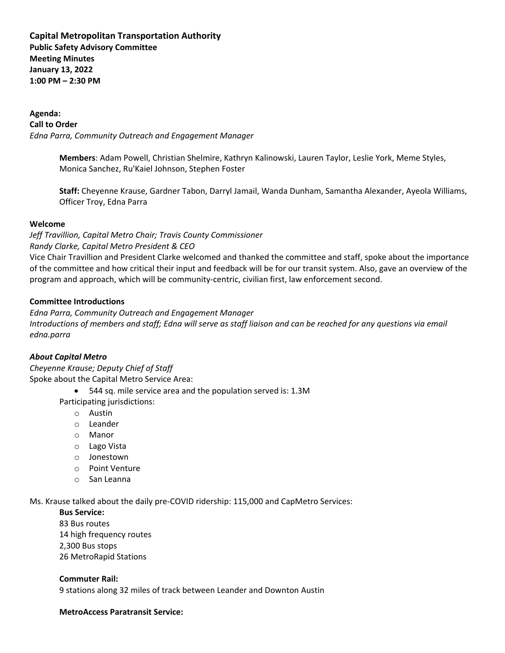# **Capital Metropolitan Transportation Authority Public Safety Advisory Committee Meeting Minutes January 13, 2022 1:00 PM – 2:30 PM**

# **Agenda:**

**Call to Order**  *Edna Parra, Community Outreach and Engagement Manager*

> **Members**: Adam Powell, Christian Shelmire, Kathryn Kalinowski, Lauren Taylor, Leslie York, Meme Styles, Monica Sanchez, Ru'Kaiel Johnson, Stephen Foster

**Staff:** Cheyenne Krause, Gardner Tabon, Darryl Jamail, Wanda Dunham, Samantha Alexander, Ayeola Williams, Officer Troy, Edna Parra

# **Welcome**

*Jeff Travillion, Capital Metro Chair; Travis County Commissioner Randy Clarke, Capital Metro President & CEO*

Vice Chair Travillion and President Clarke welcomed and thanked the committee and staff, spoke about the importance of the committee and how critical their input and feedback will be for our transit system. Also, gave an overview of the program and approach, which will be community-centric, civilian first, law enforcement second.

# **Committee Introductions**

*Edna Parra, Community Outreach and Engagement Manager Introductions of members and staff; Edna will serve as staff liaison and can be reached for any questions via email edna.parra*

# *About Capital Metro*

*Cheyenne Krause; Deputy Chief of Staff*  Spoke about the Capital Metro Service Area:

• 544 sq. mile service area and the population served is: 1.3M Participating jurisdictions:

- o Austin
- o Leander
- o Manor
- o Lago Vista
- o Jonestown
- o Point Venture
- o San Leanna

Ms. Krause talked about the daily pre-COVID ridership: 115,000 and CapMetro Services:

# **Bus Service:**

83 Bus routes 14 high frequency routes 2,300 Bus stops 26 MetroRapid Stations

**Commuter Rail:**  9 stations along 32 miles of track between Leander and Downton Austin

# **MetroAccess Paratransit Service:**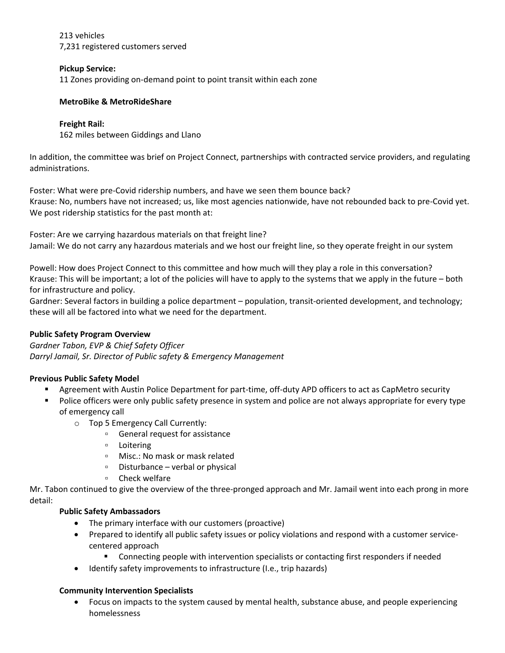213 vehicles 7,231 registered customers served

# **Pickup Service:**

11 Zones providing on-demand point to point transit within each zone

# **MetroBike & MetroRideShare**

# **Freight Rail:**

162 miles between Giddings and Llano

In addition, the committee was brief on Project Connect, partnerships with contracted service providers, and regulating administrations.

Foster: What were pre-Covid ridership numbers, and have we seen them bounce back? Krause: No, numbers have not increased; us, like most agencies nationwide, have not rebounded back to pre-Covid yet. We post ridership statistics for the past month at:

Foster: Are we carrying hazardous materials on that freight line? Jamail: We do not carry any hazardous materials and we host our freight line, so they operate freight in our system

Powell: How does Project Connect to this committee and how much will they play a role in this conversation? Krause: This will be important; a lot of the policies will have to apply to the systems that we apply in the future – both for infrastructure and policy.

Gardner: Several factors in building a police department – population, transit-oriented development, and technology; these will all be factored into what we need for the department.

# **Public Safety Program Overview**

*Gardner Tabon, EVP & Chief Safety Officer Darryl Jamail, Sr. Director of Public safety & Emergency Management*

# **Previous Public Safety Model**

- Agreement with Austin Police Department for part-time, off-duty APD officers to act as CapMetro security
- Police officers were only public safety presence in system and police are not always appropriate for every type of emergency call
	- o Top 5 Emergency Call Currently:
		- General request for assistance
		- Loitering
		- Misc.: No mask or mask related
		- Disturbance verbal or physical
		- Check welfare

Mr. Tabon continued to give the overview of the three-pronged approach and Mr. Jamail went into each prong in more detail:

# **Public Safety Ambassadors**

- The primary interface with our customers (proactive)
- Prepared to identify all public safety issues or policy violations and respond with a customer servicecentered approach
	- Connecting people with intervention specialists or contacting first responders if needed
- Identify safety improvements to infrastructure (I.e., trip hazards)

# **Community Intervention Specialists**

• Focus on impacts to the system caused by mental health, substance abuse, and people experiencing homelessness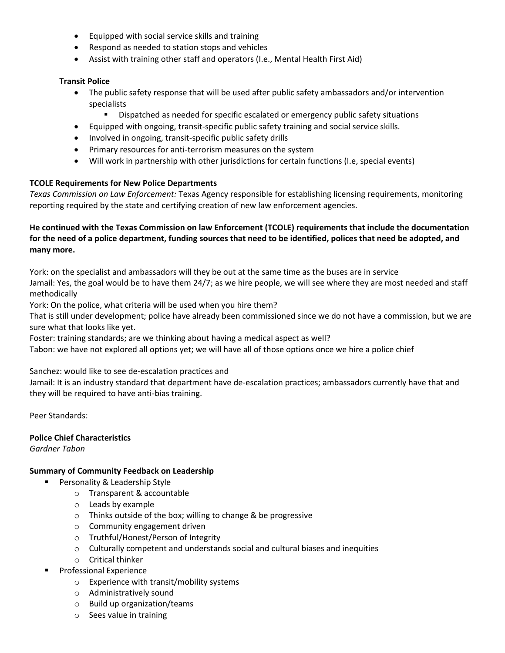- Equipped with social service skills and training
- Respond as needed to station stops and vehicles
- Assist with training other staff and operators (I.e., Mental Health First Aid)

#### **Transit Police**

- The public safety response that will be used after public safety ambassadors and/or intervention specialists
	- Dispatched as needed for specific escalated or emergency public safety situations
- Equipped with ongoing, transit-specific public safety training and social service skills.
- Involved in ongoing, transit-specific public safety drills
- Primary resources for anti-terrorism measures on the system
- Will work in partnership with other jurisdictions for certain functions (I.e, special events)

# **TCOLE Requirements for New Police Departments**

*Texas Commission on Law Enforcement:* Texas Agency responsible for establishing licensing requirements, monitoring reporting required by the state and certifying creation of new law enforcement agencies.

# **He continued with the Texas Commission on law Enforcement (TCOLE) requirements that include the documentation for the need of a police department, funding sources that need to be identified, polices that need be adopted, and many more.**

York: on the specialist and ambassadors will they be out at the same time as the buses are in service Jamail: Yes, the goal would be to have them 24/7; as we hire people, we will see where they are most needed and staff methodically

York: On the police, what criteria will be used when you hire them?

That is still under development; police have already been commissioned since we do not have a commission, but we are sure what that looks like yet.

Foster: training standards; are we thinking about having a medical aspect as well?

Tabon: we have not explored all options yet; we will have all of those options once we hire a police chief

Sanchez: would like to see de-escalation practices and

Jamail: It is an industry standard that department have de-escalation practices; ambassadors currently have that and they will be required to have anti-bias training.

Peer Standards:

# **Police Chief Characteristics**

*Gardner Tabon* 

# **Summary of Community Feedback on Leadership**

- Personality & Leadership Style
	- o Transparent & accountable
	- o Leads by example
	- o Thinks outside of the box; willing to change & be progressive
	- o Community engagement driven
	- o Truthful/Honest/Person of Integrity
	- o Culturally competent and understands social and cultural biases and inequities
	- o Critical thinker
- **Professional Experience** 
	- o Experience with transit/mobility systems
	- o Administratively sound
	- o Build up organization/teams
	- o Sees value in training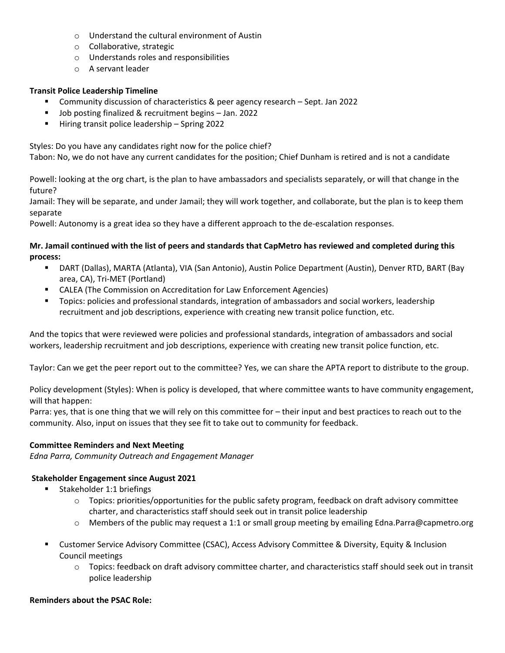- o Understand the cultural environment of Austin
- o Collaborative, strategic
- o Understands roles and responsibilities
- o A servant leader

# **Transit Police Leadership Timeline**

- Community discussion of characteristics & peer agency research Sept. Jan 2022
- Job posting finalized & recruitment begins Jan. 2022
- Hiring transit police leadership Spring 2022

Styles: Do you have any candidates right now for the police chief?

Tabon: No, we do not have any current candidates for the position; Chief Dunham is retired and is not a candidate

Powell: looking at the org chart, is the plan to have ambassadors and specialists separately, or will that change in the future?

Jamail: They will be separate, and under Jamail; they will work together, and collaborate, but the plan is to keep them separate

Powell: Autonomy is a great idea so they have a different approach to the de-escalation responses.

# **Mr. Jamail continued with the list of peers and standards that CapMetro has reviewed and completed during this process:**

- DART (Dallas), MARTA (Atlanta), VIA (San Antonio), Austin Police Department (Austin), Denver RTD, BART (Bay area, CA), Tri-MET (Portland)
- CALEA (The Commission on Accreditation for Law Enforcement Agencies)
- Topics: policies and professional standards, integration of ambassadors and social workers, leadership recruitment and job descriptions, experience with creating new transit police function, etc.

And the topics that were reviewed were policies and professional standards, integration of ambassadors and social workers, leadership recruitment and job descriptions, experience with creating new transit police function, etc.

Taylor: Can we get the peer report out to the committee? Yes, we can share the APTA report to distribute to the group.

Policy development (Styles): When is policy is developed, that where committee wants to have community engagement, will that happen:

Parra: yes, that is one thing that we will rely on this committee for – their input and best practices to reach out to the community. Also, input on issues that they see fit to take out to community for feedback.

# **Committee Reminders and Next Meeting**

*Edna Parra, Community Outreach and Engagement Manager*

# **Stakeholder Engagement since August 2021**

- Stakeholder 1:1 briefings
	- $\circ$  Topics: priorities/opportunities for the public safety program, feedback on draft advisory committee charter, and characteristics staff should seek out in transit police leadership
	- $\circ$  Members of the public may request a 1:1 or small group meeting by emailing Edna.Parra@capmetro.org
- Customer Service Advisory Committee (CSAC), Access Advisory Committee & Diversity, Equity & Inclusion Council meetings
	- $\circ$  Topics: feedback on draft advisory committee charter, and characteristics staff should seek out in transit police leadership

# **Reminders about the PSAC Role:**